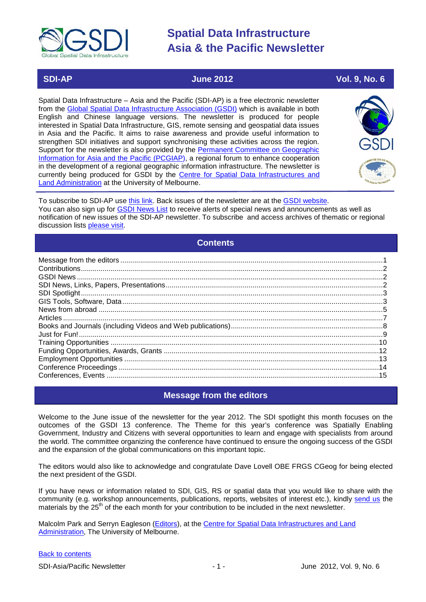

# **SDI-AP June 2012 Vol. 9, No. 6**

# Spatial Data Infrastructure – Asia and the Pacific (SDI-AP) is a free electronic newsletter from the [Global Spatial Data Infrastructure Association \(GSDI\)](http://www.gsdi.org/) which is available in both English and Chinese language versions. The newsletter is produced for people interested in Spatial Data Infrastructure, GIS, remote sensing and geospatial data issues in Asia and the Pacific. It aims to raise awareness and provide useful information to strengthen SDI initiatives and support synchronising these activities across the region. Support for the newsletter is also provided by the Permanent Committee on Geographic [Information for Asia and the Pacific \(PCGIAP\)](http://www.pcgiap.org/), a regional forum to enhance cooperation in the development of a regional geographic information infrastructure. The newsletter is currently being produced for GSDI by the [Centre for Spatial Data Infrastructures and](http://www.csdila.unimelb.edu.au/)  [Land Administration](http://www.csdila.unimelb.edu.au/) at the University of Melbourne.



To subscribe to SDI-AP use [this link.](http://www.gsdi.org/newslist/gsdisubscribe.asp) Back issues of the newsletter are at the [GSDI website.](http://www.gsdi.org/newsletters.asp) You can also sign up for **GSDI News List** to receive alerts of special news and announcements as well as notification of new issues of the SDI-AP newsletter. To subscribe and access archives of thematic or regional discussion lists [please visit.](http://www.gsdi.org/discussionlists.asp)

# **Contents**

<span id="page-0-0"></span>

# **Message from the editors**

<span id="page-0-1"></span>Welcome to the June issue of the newsletter for the year 2012. The SDI spotlight this month focuses on the outcomes of the GSDI 13 conference. The Theme for this year's conference was Spatially Enabling Government, Industry and Citizens with several opportunities to learn and engage with specialists from around the world. The committee organizing the conference have continued to ensure the ongoing success of the GSDI and the expansion of the global communications on this important topic.

The editors would also like to acknowledge and congratulate Dave Lovell OBE FRGS CGeog for being elected the next president of the GSDI.

If you have news or information related to SDI, GIS, RS or spatial data that you would like to share with the community (e.g. workshop announcements, publications, reports, websites of interest etc.), kindly [send us](mailto:.SDI-AP@gsdi.org) the materials by the 25<sup>th</sup> of the each month for your contribution to be included in the next newsletter.

Malcolm Park and Serryn Eagleson [\(Editors\)](mailto:Editor.SDIAP@gmail.com), at the [Centre for Spatial Data Infrastructures and Land](http://www.csdila.unimelb.edu.au/)  [Administration,](http://www.csdila.unimelb.edu.au/) The University of Melbourne.

### [Back to contents](#page-0-0)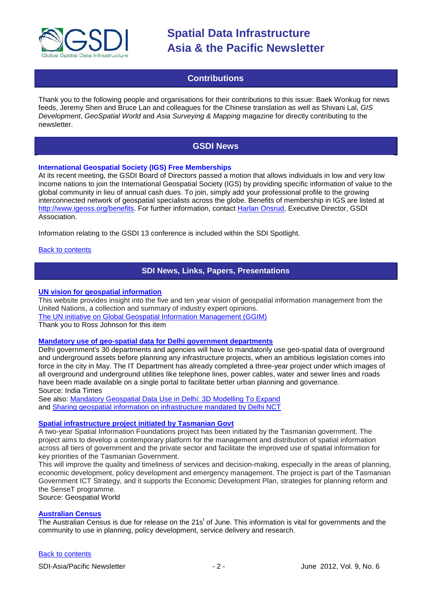

# **Contributions**

<span id="page-1-0"></span>Thank you to the following people and organisations for their contributions to this issue: Baek Wonkug for news feeds, Jeremy Shen and Bruce Lan and colleagues for the Chinese translation as well as Shivani Lal, *GIS Development*, *GeoSpatial World* and *Asia Surveying & Mapping* magazine for directly contributing to the newsletter.

# **GSDI News**

# <span id="page-1-1"></span>**International Geospatial Society (IGS) Free Memberships**

At its recent meeting, the GSDI Board of Directors passed a motion that allows individuals in low and very low income nations to join the International Geospatial Society (IGS) by providing specific information of value to the global community in lieu of annual cash dues. To join, simply add your professional profile to the growing interconnected network of geospatial specialists across the globe. Benefits of membership in IGS are listed at [http://www.igeoss.org/benefits.](https://owa.unimelb.edu.au/owa/redir.aspx?C=54c2b4d3973d480282dc7c38384f4204&URL=http%3a%2f%2fwww.igeoss.org%2fbenefits) For further information, contact [Harlan Onsrud,](mailto:onsrud@gsdi.org) Executive Director, GSDI Association.

Information relating to the GSDI 13 conference is included within the SDI Spotlight.

### <span id="page-1-2"></span>[Back to contents](#page-0-0)

# **SDI News, Links, Papers, Presentations**

### **[UN vision for geospatial information](http://www.gpsworld.com/gis/gss-weekly/united-nations-five-ten-year-vision-geospatial-information-management-12932?)**

This website provides insight into the five and ten year vision of geospatial information management from the United Nations, a collection and summary of industry expert opinions.

[The UN initiative on Global Geospatial Information Management \(GGIM\)](http://ggim.un.org/)

Thank you to Ross Johnson for this item

## **[Mandatory use of geo-spatial data for Delhi government departments](http://articles.economictimes.indiatimes.com/2012-04-08/news/31308458_1_geo-spatial-data-data-infrastructure-infrastructure-projects)**

Delhi government's 30 departments and agencies will have to mandatorily use geo-spatial data of overground and underground assets before planning any infrastructure projects, when an ambitious legislation comes into force in the city in May. The IT Department has already completed a three-year project under which images of all overground and underground utilities like telephone lines, power cables, water and sewer lines and roads have been made available on a single portal to facilitate better urban planning and governance. Source: India Times

See also: [Mandatory Geospatial Data Use in Delhi: 3D Modelling To Expand](http://www.3dvisworld.com/3DVW/?p=85) and [Sharing geospatial information on infrastructure mandated by Delhi NCT](http://geospatial.blogs.com/geospatial/2012/04/sharing-geospatial-information-on-infrastructure-mandated-by-delhi-nct.html)

### **[Spatial infrastructure project initiated by Tasmanian Govt](http://geospatialworld.net/index.php?option=com_content&view=article&id=24626%3Aspatial-infrastructure-project-initiated-by-tasmanian-govt&catid=58%3Aapplication-lis&Itemid=1)**

A two-year Spatial Information Foundations project has been initiated by the Tasmanian government. The project aims to develop a contemporary platform for the management and distribution of spatial information across all tiers of government and the private sector and facilitate the improved use of spatial information for key priorities of the Tasmanian Government.

This will improve the quality and timeliness of services and decision-making, especially in the areas of planning, economic development, policy development and emergency management. The project is part of the Tasmanian Government ICT Strategy, and it supports the Economic Development Plan, strategies for planning reform and the SenseT programme.

Source: Geospatial World

## **[Australian Census](http://www.abs.gov.au/)**

The Australian Census is due for release on the 21s<sup>t</sup> of June. This information is vital for governments and the community to use in planning, policy development, service delivery and research.

### [Back to contents](#page-0-0)

SDI-Asia/Pacific Newsletter  $\sim$  2 - June 2012, Vol. 9, No. 6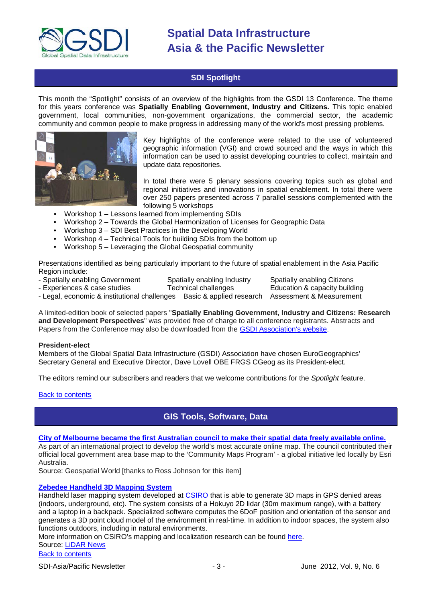

# **SDI Spotlight**

<span id="page-2-0"></span>This month the "Spotlight" consists of an overview of the highlights from the GSDI 13 Conference. The theme for this years conference was **Spatially Enabling Government, Industry and Citizens.** This topic enabled government, local communities, non-government organizations, the commercial sector, the academic community and common people to make progress in addressing many of the world's most pressing problems.



Key highlights of the conference were related to the use of volunteered geographic information (VGI) and crowd sourced and the ways in which this information can be used to assist developing countries to collect, maintain and update data repositories.

In total there were 5 plenary sessions covering topics such as global and regional initiatives and innovations in spatial enablement. In total there were over 250 papers presented across 7 parallel sessions complemented with the following 5 workshops

- Workshop 1 Lessons learned from implementing SDIs<br>• Workshop 2 Towards the Global Harmonization of Lice
- Workshop 2 Towards the Global Harmonization of Licenses for Geographic Data
- Workshop 3 SDI Best Practices in the Developing World
- Workshop 4 Technical Tools for building SDIs from the bottom up
- Workshop 5 Leveraging the Global Geospatial community

Presentations identified as being particularly important to the future of spatial enablement in the Asia Pacific Region include:

- Experiences & case studies

- Spatially enabling Government Spatially enabling Industry Spatially enabling Citizens<br>- Experiences & case studies Technical challenges Education & capacity building

- Legal, economic & institutional challenges Basic & applied research Assessment & Measurement

A limited-edition book of selected papers "**Spatially Enabling Government, Industry and Citizens: Research and Development Perspectives**" was provided free of charge to all conference registrants. Abstracts and Papers from the Conference may also be downloaded from the [GSDI Association's website.](http://www.gsdi.org/gsdiconf/gsdi13/prog_details.html)

### **President-elect**

Members of the Global Spatial Data Infrastructure (GSDI) Association have chosen EuroGeographics' Secretary General and Executive Director, Dave Lovell OBE FRGS CGeog as its President-elect.

The editors remind our subscribers and readers that we welcome contributions for the *Spotlight* feature.

<span id="page-2-1"></span>**[Back to contents](#page-0-0)** 

# **GIS Tools, Software, Data**

# **[City of Melbourne became the first Australian council to make their spatial data freely available online.](http://www.geospatialworld.net/index.php?option=com_content&view=article&id=24578%3Amelbourne-announces-online-access-to-spatial-data&catid=49%3Aproduct-data&Itemid=61)**

As part of an international project to develop the world's most accurate online map. The council contributed their official local government area base map to the 'Community Maps Program' - a global initiative led locally by Esri Australia.

Source: Geospatial World [thanks to Ross Johnson for this item]

# **[Zebedee Handheld 3D Mapping System](http://www.youtube.com/watch?feature=player_embedded&v=Uj9BKcnXOyo)**

Handheld laser mapping system developed at [CSIRO](http://research.ict.csiro.au/research/labs/autonomous-systems/field-robotics/mapping-and-localisation) that is able to generate 3D maps in GPS denied areas (indoors, underground, etc). The system consists of a Hokuyo 2D lidar (30m maximum range), with a battery and a laptop in a backpack. Specialized software computes the 6DoF position and orientation of the sensor and generates a 3D point cloud model of the environment in real-time. In addition to indoor spaces, the system also functions outdoors, including in natural environments.

More information on CSIRO's mapping and localization research can be found [here.](http://research.ict.csiro.au/research/labs/autonomous-systems/field-robotics/mapping-and-localisation)

Source: [LiDAR News](http://www.lidarnews.com/newsletter/Vol2No10.htm)

[Back to contents](#page-0-0)

SDI-Asia/Pacific Newsletter  $\sim$  3 -  $\sim$  3 - June 2012, Vol. 9, No. 6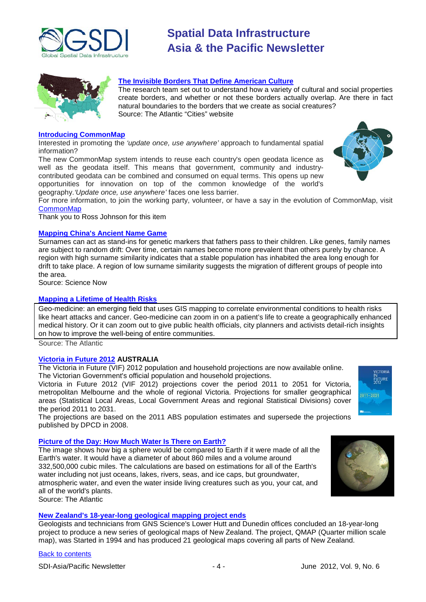



# **[The Invisible Borders That Define American Culture](http://www.theatlanticcities.com/arts-and-lifestyle/2012/04/invisible-borders-define-american-culture/1839/)**

The research team set out to understand how a variety of cultural and social properties create borders, and whether or not these borders actually overlap. Are there in fact natural boundaries to the borders that we create as social creatures? Source: The Atlantic "Cities" website

#### **[Introducing CommonMap](http://commonmap.org/)**

Interested in promoting the *'update once, use anywhere'* approach to fundamental spatial information?

The new CommonMap system intends to reuse each country's open geodata licence as well as the geodata itself. This means that government, community and industrycontributed geodata can be combined and consumed on equal terms. This opens up new opportunities for innovation on top of the common knowledge of the world's geography.*'Update once, use anywhere'* faces one less barrier.

For more information, to join the working party, volunteer, or have a say in the evolution of CommonMap, visit **[CommonMap](http://commonmap.org/)** 

Thank you to Ross Johnson for this item

#### **[Mapping China's Ancient Name Game](http://news.sciencemag.org/sciencenow/2012/04/mapping-chinas-ancient-name-game.html?ref=hp)**

Surnames can act as stand-ins for genetic markers that fathers pass to their children. Like genes, family names are subject to random drift: Over time, certain names become more prevalent than others purely by chance. A region with high surname similarity indicates that a stable population has inhabited the area long enough for drift to take place. A region of low surname similarity suggests the migration of different groups of people into the area.

Source: Science Now

#### **[Mapping a Lifetime of Health Risks](http://www.theatlanticcities.com/technology/2012/05/mapping-lifetime-health-risks/2091/)**

Geo-medicine: an emerging field that uses GIS mapping to correlate environmental conditions to health risks like heart attacks and cancer. Geo-medicine can zoom in on a patient's life to create a geographically enhanced medical history. Or it can zoom out to give public health officials, city planners and activists detail-rich insights on how to improve the well-being of entire communities.

Source: The Atlantic

### **[Victoria in Future 2012](http://www.dpcd.vic.gov.au/home/publications-and-research/urban-and-regional-research/Census-2011/victoria-in-future-2012) AUSTRALIA**

The Victoria in Future (VIF) 2012 population and household projections are now available online. The Victorian Government's official population and household projections.

Victoria in Future 2012 (VIF 2012) projections cover the period 2011 to 2051 for Victoria, metropolitan Melbourne and the whole of regional Victoria. Projections for smaller geographical areas (Statistical Local Areas, Local Government Areas and regional Statistical Divisions) cover the period 2011 to 2031.

The projections are based on the 2011 ABS population estimates and supersede the projections published by DPCD in 2008.

# **[Picture of the Day: How Much Water Is There on Earth?](http://www.theatlantic.com/technology/archive/2012/05/picture-of-the-day-how-much-water-is-there-on-earth/256863/)**

The image shows how big a sphere would be compared to Earth if it were made of all the Earth's water. It would have a diameter of about 860 miles and a volume around 332,500,000 cubic miles. The calculations are based on estimations for all of the Earth's water including not just oceans, lakes, rivers, seas, and ice caps, but groundwater, atmospheric water, and even the water inside living creatures such as you, your cat, and all of the world's plants. Source: The Atlantic



VICTORIA tuture<br>1012

### **New Zealand's 18-year-long geological mapping project ends**

Geologists and technicians from GNS Science's Lower Hutt and Dunedin offices concluded an 18-year-long project to produce a new series of geological maps of New Zealand. The project, QMAP (Quarter million scale map), was Started in 1994 and has produced 21 geological maps covering all parts of New Zealand.

## [Back to contents](#page-0-0)

SDI-Asia/Pacific Newsletter  $\begin{array}{ccc} -4 \\ -4 \end{array}$  -  $\begin{array}{ccc} -4 \\ -4 \end{array}$  June 2012, Vol. 9, No. 6

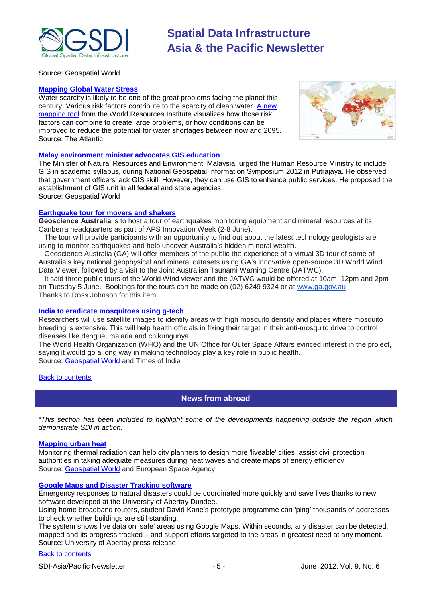

Source: Geospatial World

### **[Mapping Global Water Stress](http://www.theatlanticcities.com/technology/2012/05/mapping-global-water-stress/2054/)**

Water scarcity is likely to be one of the great problems facing the planet this century. Various risk factors contribute to the scarcity of clean water. A new [mapping tool](http://insights.wri.org/aqueduct/atlas) from the World Resources Institute visualizes how those risk factors can combine to create large problems, or how conditions can be improved to reduce the potential for water shortages between now and 2095. Source: The Atlantic



#### **[Malay environment minister advocates GIS education](http://geospatialworld.net/index.php?option=com_content&view=article&id=24829%3Amalay-environment-minister-advocates-gis-education&catid=75%3Amiscellaneous-events&Itemid=1)**

The Minister of Natural Resources and Environment, Malaysia, urged the Human Resource Ministry to include GIS in academic syllabus, during National Geospatial Information Symposium 2012 in Putrajaya. He observed that government officers lack GIS skill. However, they can use GIS to enhance public services. He proposed the establishment of GIS unit in all federal and state agencies. Source: Geospatial World

#### **Earthquake tour for movers and shakers**

**Geoscience Australia** is to host a tour of earthquakes monitoring equipment and mineral resources at its Canberra headquarters as part of APS Innovation Week (2-8 June).

The tour will provide participants with an opportunity to find out about the latest technology geologists are using to monitor earthquakes and help uncover Australia's hidden mineral wealth.

Geoscience Australia (GA) will offer members of the public the experience of a virtual 3D tour of some of Australia's key national geophysical and mineral datasets using GA's innovative open-source 3D World Wind Data Viewer, followed by a visit to the Joint Australian Tsunami Warning Centre (JATWC).

It said three public tours of the World Wind viewer and the JATWC would be offered at 10am, 12pm and 2pm on Tuesday 5 June. Bookings for the tours can be made on (02) 6249 9324 or at [www.ga.gov.au](http://www.ga.gov.au/) Thanks to Ross Johnson for this item.

#### **[India to eradicate mosquitoes using g-tech](http://articles.timesofindia.indiatimes.com/2012-05-23/kochi/31825929_1_mosquito-new-satellite-satellite-images)**

Researchers will use satellite images to identify areas with high mosquito density and places where mosquito breeding is extensive. This will help health officials in fixing their target in their anti-mosquito drive to control diseases like dengue, malaria and chikungunya.

The World Health Organization (WHO) and the UN Office for Outer Space Affairs evinced interest in the project, saying it would go a long way in making technology play a key role in public health. Source: [Geospatial World](http://geospatialworld.net/index.php?option=com_content&view=article&id=24840%3Aindia-to-eradicate-mosquitoes-using-g-tech&catid=56%3Aapplication-health&Itemid=1) and Times of India

#### <span id="page-4-0"></span>[Back to contents](#page-0-0)

# **News from abroad**

*"This section has been included to highlight some of the developments happening outside the region which demonstrate SDI in action.*

### **[Mapping urban heat](http://www.esa.int/esaEO/SEMRLKTWT1H_index_0.html)**

Monitoring thermal radiation can help city planners to design more 'liveable' cities, assist civil protection authorities in taking adequate measures during heat waves and create maps of energy efficiency Source: [Geospatial World](http://geospatialworld.net/index.php?option=com_imageoftheweek&view=managetemplate&id=87&Itemid=139&year=2012) and European Space Agency

### **[Google Maps and Disaster Tracking software](http://www.abertay.ac.uk/about/news/newsarchive/2012/name,9821,en.html)**

Emergency responses to natural disasters could be coordinated more quickly and save lives thanks to new software developed at the University of Abertay Dundee.

Using home broadband routers, student David Kane's prototype programme can 'ping' thousands of addresses to check whether buildings are still standing.

The system shows live data on 'safe' areas using Google Maps. Within seconds, any disaster can be detected, mapped and its progress tracked – and support efforts targeted to the areas in greatest need at any moment. Source: University of Abertay press release

## [Back to contents](#page-0-0)

SDI-Asia/Pacific Newsletter  $\sim$  5 - June 2012, Vol. 9, No. 6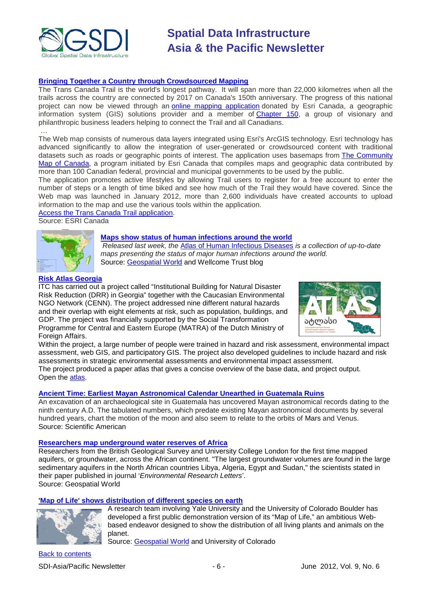

# **[Bringing Together a Country through Crowdsourced Mapping](http://www.esri.ca/en_company/914_5291.asp)**

The Trans Canada Trail is the world's longest pathway. It will span more than 22,000 kilometres when all the trails across the country are connected by 2017 on Canada's 150th anniversary. The progress of this national project can now be viewed through an [online mapping application](http://tctrail.ca/explore-the-trail/) donated by Esri Canada, a geographic information system (GIS) solutions provider and a member of [Chapter 150,](http://tctrail.ca/donate/chapter-150/) a group of visionary and philanthropic business leaders helping to connect the Trail and all Canadians.

… The Web map consists of numerous data layers integrated using Esri's ArcGIS technology. Esri technology has advanced significantly to allow the integration of user-generated or crowdsourced content with traditional datasets such as roads or geographic points of interest. The application uses basemaps from The Community [Map of Canada,](http://maps.esricanada.com/CommunityMapping/index.html) a program initiated by Esri Canada that compiles maps and geographic data contributed by more than 100 Canadian federal, provincial and municipal governments to be used by the public.

The application promotes active lifestyles by allowing Trail users to register for a free account to enter the number of steps or a length of time biked and see how much of the Trail they would have covered. Since the Web map was launched in January 2012, more than 2,600 individuals have created accounts to upload information to the map and use the various tools within the application.

Access the Trans Canada Trail application. Source: ESRI Canada



# **[Maps show status of human infections around the world](http://wellcometrust.wordpress.com/2012/03/01/developing-the-atlas-of-human-infectious-diseases/)**

*Released last week, the* [Atlas of Human Infectious Diseases](http://au.wiley.com/WileyCDA/WileyTitle/productCd-140518440X.html) *is a collection of up-to-date maps presenting the status of major human infections around the world.* Source: [Geospatial World](http://geospatialworld.net/index.php?option=com_content&view=article&id=24841%3Amaps-show-status-of-human-infections-around-the-world&catid=56%3Aapplication-health&Itemid=1) and Wellcome Trust blog

# **[Risk Atlas Georgia](http://www.itc.nl/Pub/News/in2012/in2012-April/Risk-atlas-Georgia.html)**

ITC has carried out a project called "Institutional Building for Natural Disaster Risk Reduction (DRR) in Georgia" together with the Caucasian Environmental NGO Network (CENN). The project addressed nine different natural hazards and their overlap with eight elements at risk, such as population, buildings, and GDP. The project was financially supported by the Social Transformation Programme for Central and Eastern Europe (MATRA) of the Dutch Ministry of Foreign Affairs.



Within the project, a large number of people were trained in hazard and risk assessment, environmental impact assessment, web GIS, and participatory GIS. The project also developed guidelines to include hazard and risk assessments in strategic environmental assessments and environmental impact assessment. The project produced a paper atlas that gives a concise overview of the base data, and project output. Open the [atlas.](http://drm.cenn.org/index.php/en/background-information/paper-atlas)

# **[Ancient Time: Earliest Mayan Astronomical Calendar Unearthed in Guatemala Ruins](http://www.scientificamerican.com/article.cfm?id=xultun-mayan-calendar&WT.mc_id=SA_CAT_BS_20120511)**

An excavation of an archaeological site in Guatemala has uncovered Mayan astronomical records dating to the ninth century A.D. The tabulated numbers, which predate existing Mayan astronomical documents by several hundred years, chart the motion of the moon and also seem to relate to the orbits of Mars and Venus. Source: Scientific American

### **[Researchers map underground water reserves of Africa](http://geospatialworld.net/index.php?option=com_content&view=article&id=24581%3Aresearchers-map-underground-water-reserves-of-africa&catid=52%3Aapplication-natural-resource-management&Itemid=1)**

Researchers from the British Geological Survey and University College London for the first time mapped aquifers, or groundwater, across the African continent. "The largest groundwater volumes are found in the large sedimentary aquifers in the North African countries Libya, Algeria, Egypt and Sudan," the scientists stated in their paper published in journal '*Environmental Research Letters*'. Source: Geospatial World

# **['Map of Life' shows distribution of different species on earth](http://www.colorado.edu/news/releases/2012/05/10/new-%E2%80%98map-life%E2%80%99-project-aims-show-distribution-all-plants-animals-planet)**



A research team involving Yale University and the University of Colorado Boulder has developed a first public demonstration version of its "Map of Life," an ambitious Webbased endeavor designed to show the distribution of all living plants and animals on the planet.

Source: [Geospatial World](http://geospatialworld.net/index.php?option=com_content&view=article&id=24737%3Amap-of-life-shows-distribution-of-all-species-on-earth&catid=49%3Aproduct-data&Itemid=1) and University of Colorado

[Back to contents](#page-0-0) SDI-Asia/Pacific Newsletter  $\overline{\phantom{a}}$  - 6 -  $\overline{\phantom{a}}$  June 2012, Vol. 9, No. 6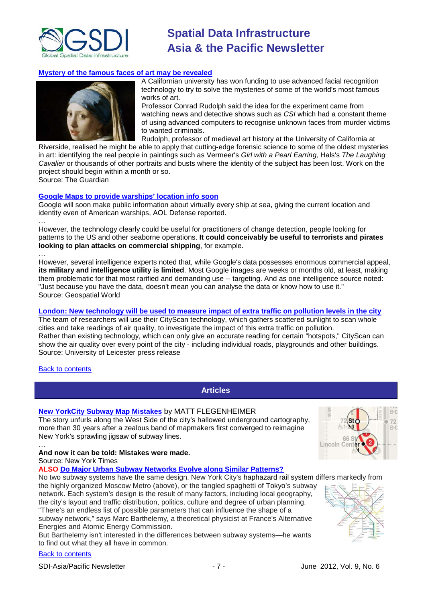

## **[Mystery of the famous faces of art may be revealed](http://www.guardian.co.uk/artanddesign/2012/may/20/art-mystery-face-recognition-csi)**



A Californian university has won funding to use advanced facial recognition technology to try to solve the mysteries of some of the world's most famous works of art.

Professor Conrad Rudolph said the idea for the experiment came from watching news and detective shows such as *CSI* which had a constant theme of using advanced computers to recognise unknown faces from murder victims to wanted criminals.

Rudolph, professor of medieval art history at the University of California at

Riverside, realised he might be able to apply that cutting-edge forensic science to some of the oldest mysteries in art: identifying the real people in paintings such as Vermeer's *Girl with a Pearl Earring,* Hals's *The Laughing Cavalier* or thousands of other portraits and busts where the identity of the subject has been lost. Work on the project should begin within a month or so.

Source: The Guardian

#### **[Google Maps to provide warships' location info soon](http://geospatialworld.net/index.php?option=com_content&view=article&id=24843%3Agoogle-maps-to-provide-warships-location-info-soon&catid=49%3Aproduct-data&Itemid=1)**

Google will soon make public information about virtually every ship at sea, giving the current location and identity even of American warships, AOL Defense reported.

… However, the technology clearly could be useful for practitioners of change detection, people looking for patterns to the US and other seaborne operations. **It could conceivably be useful to terrorists and pirates looking to plan attacks on commercial shipping**, for example.

… However, several intelligence experts noted that, while Google's data possesses enormous commercial appeal, **its military and intelligence utility is limited**. Most Google images are weeks or months old, at least, making them problematic for that most rarified and demanding use -- targeting. And as one intelligence source noted: "Just because you have the data, doesn't mean you can analyse the data or know how to use it." Source: Geospatial World

# **[London: New technology will be used to measure impact of extra traffic on pollution levels in the city](http://www2.le.ac.uk/offices/press/press-releases/2012/april/london-2012-olympics-new-technology-will-be-used-to-measure-impact-of-extra-traffic-on-pollution-levels-in-the-city?searchterm=CityScan%20instrument)**

The team of researchers will use their CityScan technology, which gathers scattered sunlight to scan whole cities and take readings of air quality, to investigate the impact of this extra traffic on pollution. Rather than existing technology, which can only give an accurate reading for certain "hotspots," CityScan can show the air quality over every point of the city - including individual roads, playgrounds and other buildings. Source: University of Leicester press release

### <span id="page-6-0"></span>[Back to contents](#page-0-0)

**Articles**

## **[New YorkCity Subway Map Mistakes](http://www.nytimes.com/2012/05/07/nyregion/on-new-york-subway-map-a-wayward-broadway-and-phantom-blocks.html)** by MATT FLEGENHEIMER

The story unfurls along the West Side of the city's hallowed underground cartography, more than 30 years after a zealous band of mapmakers first converged to reimagine New York's sprawling jigsaw of subway lines.



#### … **And now it can be told: Mistakes were made.**

Source: New York Times

**ALSO [Do Major Urban Subway Networks Evolve along Similar Patterns?](http://www.scientificamerican.com/article.cfm?id=how-subway-networks-evolve&WT.mc_id=SA_DD_20120516)**

No two subway systems have the same design. New York City's haphazard rail system differs markedly from

the highly organized Moscow Metro (above), or the tangled spaghetti of Tokyo's subway network. Each system's design is the result of many factors, including local geography, the city's layout and traffic distribution, politics, culture and degree of urban planning. "There's an endless list of possible parameters that can influence the shape of a subway network," says Marc Barthelemy, a theoretical physicist at France's Alternative Energies and Atomic Energy Commission.

But Barthelemy isn't interested in the differences between subway systems—he wants to find out what they all have in common.

#### [Back to contents](#page-0-0)

SDI-Asia/Pacific Newsletter  $\overline{\phantom{a}}$  - 7 -  $\overline{\phantom{a}}$  June 2012, Vol. 9, No. 6

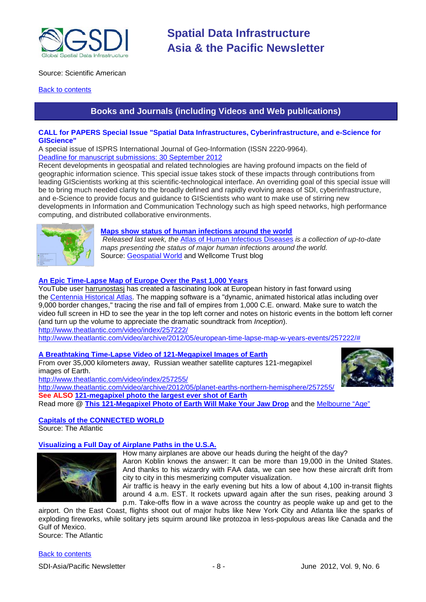

# Source: Scientific American

# <span id="page-7-0"></span>**[Back to contents](#page-0-0)**

# **Books and Journals (including Videos and Web publications)**

# **CALL for PAPERS Special Issue "Spatial Data Infrastructures, Cyberinfrastructure, and e-Science for GIScience"**

A special issue of ISPRS International Journal of Geo-Information (ISSN 2220-9964).

[Deadline for manuscript submissions: 30 September 2012](http://www.mdpi.com/journal/ijgi/special_issues/spatial_data/)

Recent developments in geospatial and related technologies are having profound impacts on the field of geographic information science. This special issue takes stock of these impacts through contributions from leading GIScientists working at this scientific-technological interface. An overriding goal of this special issue will be to bring much needed clarity to the broadly defined and rapidly evolving areas of SDI, cyberinfrastructure, and e-Science to provide focus and guidance to GIScientists who want to make use of stirring new developments in Information and Communication Technology such as high speed networks, high performance computing, and distributed collaborative environments.



### **[Maps show status of human infections around the world](http://wellcometrust.wordpress.com/2012/03/01/developing-the-atlas-of-human-infectious-diseases/)**

*Released last week, the* [Atlas of Human Infectious Diseases](http://au.wiley.com/WileyCDA/WileyTitle/productCd-140518440X.html) *is a collection of up-to-date maps presenting the status of major human infections around the world.* Source: [Geospatial World](http://geospatialworld.net/index.php?option=com_content&view=article&id=24841%3Amaps-show-status-of-human-infections-around-the-world&catid=56%3Aapplication-health&Itemid=1) and Wellcome Trust blog

# **[An Epic Time-Lapse Map of Europe Over the Past 1,000 Years](http://www.theatlantic.com/video/archive/2012/05/european-time-lapse-map-w-years-events/257222/)**

YouTube user [harrunostasj](http://www.youtube.com/user/harrunostasj) has created a fascinating look at European history in fast forward using the [Centennia Historical Atlas.](http://www.clockwk.com/centennia.html) The mapping software is a "dynamic, animated historical atlas including over 9,000 border changes," tracing the rise and fall of empires from 1,000 C.E. onward. Make sure to watch the video full screen in HD to see the year in the top left corner and notes on historic events in the bottom left corner (and turn up the volume to appreciate the dramatic soundtrack from *Inception*).

<http://www.theatlantic.com/video/index/257222/>

[http://www.theatlantic.com/video/archive/2012/05/european-time-lapse-map-w-years-events/257222/#](http://www.theatlantic.com/video/archive/2012/05/european-time-lapse-map-w-years-events/257222/)

### **[A Breathtaking Time-Lapse Video of 121-Megapixel Images of Earth](http://www.theatlantic.com/video/archive/2012/05/planet-earths-northern-hemisphere/257255/)**

From over 35,000 kilometers away, Russian weather satellite captures 121-megapixel images of Earth. <http://www.theatlantic.com/video/index/257255/>



<http://www.theatlantic.com/video/archive/2012/05/planet-earths-northern-hemisphere/257255/>

**See ALSO [121-megapixel photo the largest ever shot of Earth](http://www.smh.com.au/technology/sci-tech/121megapixel-photo-the-largest-ever-shot-of-earth-20120515-1ynms.html#ixzz1v4biAIma)**

Read more @ **[This 121-Megapixel Photo of Earth Will Make Your Jaw Drop](http://mashable.com/2012/05/14/121-megapixel-photo-of-earth/)** and the [Melbourne "Age"](http://www.theage.com.au/technology/sci-tech/121megapixel-photo-the-largest-ever-shot-of-earth-20120515-1ynms.html)

# **[Capitals of the CONNECTED WORLD](http://www.theatlantic.com/special-report/capitals-connected-world/)** Source: The Atlantic

# **Visualizing a Full Day of Airplane Paths in the U.S.A.**



How many airplanes are above our heads during the height of the day? Aaron Koblin knows the answer: It can be more than 19,000 in the United States. And thanks to his wizardry with FAA data, we can see how these aircraft drift from city to city in this mesmerizing computer visualization.

Air traffic is heavy in the early evening but hits a low of about 4,100 in-transit flights around 4 a.m. EST. It rockets upward again after the sun rises, peaking around 3 p.m. Take-offs flow in a wave across the country as people wake up and get to the

airport. On the East Coast, flights shoot out of major hubs like New York City and Atlanta like the sparks of exploding fireworks, while solitary jets squirm around like protozoa in less-populous areas like Canada and the Gulf of Mexico. Source: The Atlantic

[Back to contents](#page-0-0)

SDI-Asia/Pacific Newsletter  $\overline{\phantom{a}}$  - 8 -  $\overline{\phantom{a}}$  June 2012, Vol. 9, No. 6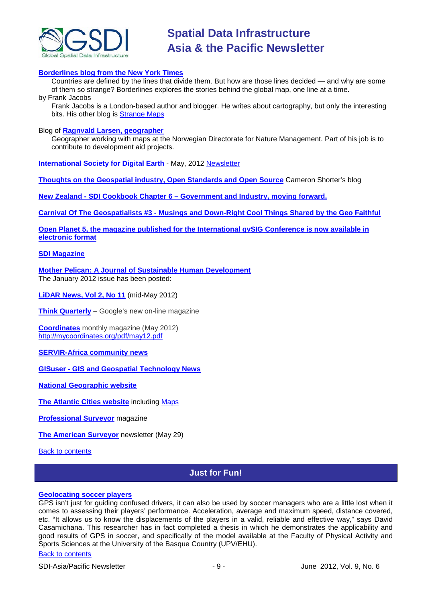

## **[Borderlines blog from the New York Times](http://opinionator.blogs.nytimes.com/category/borderlines/)**

Countries are defined by the lines that divide them. But how are those lines decided — and why are some of them so strange? Borderlines explores the stories behind the global map, one line at a time. by Frank Jacobs

Frank Jacobs is a London-based author and blogger. He writes about cartography, but only the interesting bits. His other blog is [Strange Maps](http://bigthink.com/blogs/strange-maps)

### Blog of **[Ragnvald Larsen, geographer](http://www.mindland.com/wp/)**

Geographer working with maps at the Norwegian Directorate for Nature Management. Part of his job is to contribute to development aid projects.

**International Society for Digital Earth** - May, 2012 [Newsletter](http://www.digitalearth-isde.org/news/isde-newsletter(20120508).html)

**[Thoughts on the Geospatial industry, Open Standards and Open Source](http://cameronshorter.blogspot.com/2011/06/memoirs-of-cat-herder-coordinating.html)** Cameron Shorter's blog

**New Zealand - SDI Cookbook Chapter 6 – [Government and Industry, moving forward.](http://www.geospatial.govt.nz/sdi-cookbook-chapter-6-government-and-industry-moving-forward)**

**Carnival Of The Geospatialists #3 - [Musings and Down-Right Cool Things Shared by the Geo Faithful](http://www.gisuser.com/content/view/25690/28/)**

**Open Planet 5, the magazine published for the International gvSIG Conference is now available in [electronic format](http://jornadas.gvsig.org/descargas/magazine)**

## **[SDI Magazine](http://www.sdimag.com/)**

**[Mother Pelican: A Journal of Sustainable Human Development](http://www.pelicanweb.org/solisustv08n01page1.html)** The January 2012 issue has been posted:

**[LiDAR News, Vol 2, No 11](http://www.lidarnews.com/newsletter/Vol2No11.htm)** (mid-May 2012)

**[Think Quarterly](http://thinkquarterly.co.uk/#aboutthebook)** – Google's new on-line magazine

**[Coordinates](http://mycoordinates.org/pdf/may12.pdf)** monthly magazine (May 2012) <http://mycoordinates.org/pdf/may12.pdf>

**[SERVIR-Africa community news](http://www.servirglobal.net/africa/en/News/CommunityNews.aspx)**

**GISuser - [GIS and Geospatial Technology News](http://www.gisuser.com/)**

**[National Geographic](http://www.nationalgeographic.com/) website**

**[The Atlantic Cities website](http://www.theatlanticcities.com/)** including [Maps](http://www.theatlanticcities.com/posts/map/)

**[Professional Surveyor](http://www.profsurv.com/)** magazine

**[The American Surveyor](http://www.amerisurv.com/newsletter/29MAY2012.htm)** newsletter (May 29)

<span id="page-8-0"></span>[Back to contents](#page-0-0)

# **Just for Fun!**

### **[Geolocating soccer players](http://www.basqueresearch.com/berria_irakurri.asp?hizk=I&Berri_Kod=3947#.T8WL-rDVXvp)**

GPS isn't just for guiding confused drivers, it can also be used by soccer managers who are a little lost when it comes to assessing their players' performance. Acceleration, average and maximum speed, distance covered, etc. "It allows us to know the displacements of the players in a valid, reliable and effective way," says David Casamichana. This researcher has in fact completed a thesis in which he demonstrates the applicability and good results of GPS in soccer, and specifically of the model available at the Faculty of Physical Activity and Sports Sciences at the University of the Basque Country (UPV/EHU).

# [Back to contents](#page-0-0)

SDI-Asia/Pacific Newsletter  $-9 -$  - 9 -  $-9 -$  June 2012, Vol. 9, No. 6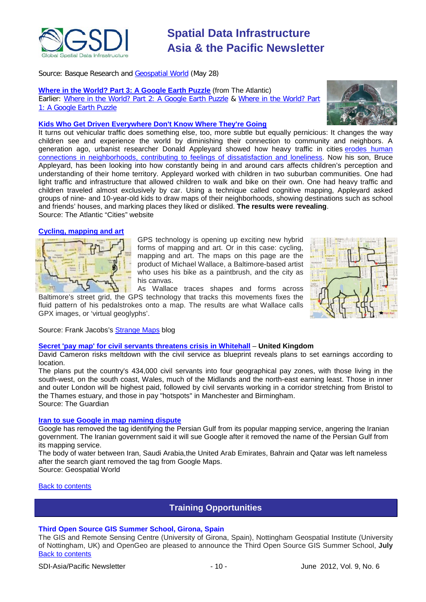

Source: Basque Research and [Geospatial World](http://www.geospatialworld.net/newsletter/weekly_newsletter/may2812.htm) (May 28)

**[Where in the World? Part 3: A Google Earth Puzzle](http://www.theatlantic.com/infocus/2012/05/where-in-the-world-part-3-a-google-earth-puzzle/100305/)** (from The Atlantic) Earlier: [Where in the World? Part 2: A Google Earth Puzzle](http://www.theatlantic.com/infocus/2011/11/where-in-the-world-a-google-earth-puzzle/100197/) & [Where in the World? Part](http://www.theatlantic.com/infocus/2011/08/where-in-the-world-a-google-earth-puzzle/100120/)  [1: A Google Earth Puzzle](http://www.theatlantic.com/infocus/2011/08/where-in-the-world-a-google-earth-puzzle/100120/)



# **[Kids Who Get Driven Everywhere Don't Know Where They're Going](http://www.theatlanticcities.com/commute/2012/05/kids-who-get-driven-everywhere-dont-know-where-theyre-going/1943/)**

It turns out vehicular traffic does something else, too, more subtle but equally pernicious: It changes the way children see and experience the world by diminishing their connection to community and neighbors. A generation ago, urbanist researcher Donald Appleyard showed how heavy traffic in cities erodes human [connections in neighborhoods, contributing to feelings of dissatisfaction and loneliness.](http://www.theatlanticcities.com/commute/2012/04/traffic-making-us-lonely/1858/) Now his son, Bruce Appleyard, has been looking into how constantly being in and around cars affects children's perception and understanding of their home territory. Appleyard worked with children in two suburban communities. One had light traffic and infrastructure that allowed children to walk and bike on their own. One had heavy traffic and children traveled almost exclusively by car. Using a technique called cognitive mapping, Appleyard asked groups of nine- and 10-year-old kids to draw maps of their neighborhoods, showing destinations such as school and friends' houses, and marking places they liked or disliked. **The results were revealing**. Source: The Atlantic "Cities" website

### **[Cycling, mapping and art](http://bigthink.com/strange-maps/562-biked-any-good-maps-lately)**



GPS technology is opening up exciting new hybrid forms of mapping and art. Or in this case: cycling, mapping and art. The maps on this page are the product of Michael Wallace, a Baltimore-based artist who uses his bike as a paintbrush, and the city as his canvas.

As Wallace traces shapes and forms across Baltimore's street grid, the GPS technology that tracks this movements fixes the fluid pattern of his pedalstrokes onto a map. The results are what Wallace calls GPX images, or 'virtual geoglyphs'.



Source: Frank Jacobs's [Strange Maps](http://bigthink.com/blogs/strange-maps) blog

### **[Secret 'pay map' for civil servants threatens crisis in Whitehall](http://www.guardian.co.uk/politics/2012/may/20/civil-service-pay-cut-whitehall)** – **United Kingdom**

David Cameron risks meltdown with the civil service as blueprint reveals plans to set earnings according to location.

The plans put the country's 434,000 civil servants into four geographical pay zones, with those living in the south-west, on the south coast, Wales, much of the Midlands and the north-east earning least. Those in inner and outer London will be highest paid, followed by civil servants working in a corridor stretching from Bristol to the Thames estuary, and those in pay "hotspots" in Manchester and Birmingham. Source: The Guardian

### **Iran to sue Google [in map naming dispute](http://geospatialworld.net/index.php?option=com_content&view=article&id=24776%3Airan-to-sue-google-in-map-naming-dispute&catid=47%3Aproduct-surveying-mapping&Itemid=1)**

Google has removed the tag identifying the Persian Gulf from its popular mapping service, angering the Iranian government. The Iranian government said it will sue Google after it removed the name of the Persian Gulf from its mapping service.

The body of water between Iran, Saudi Arabia,the United Arab Emirates, Bahrain and Qatar was left nameless after the search giant removed the tag from Google Maps.

Source: Geospatial World

<span id="page-9-0"></span>[Back to contents](#page-0-0)

# **Training Opportunities**

# **Third Open Source GIS Summer School, Girona, Spain**

[Back to contents](#page-0-0) The GIS and Remote Sensing Centre (University of Girona, Spain), Nottingham Geospatial Institute (University of Nottingham, UK) and OpenGeo are pleased to announce the Third Open Source GIS Summer School, **July**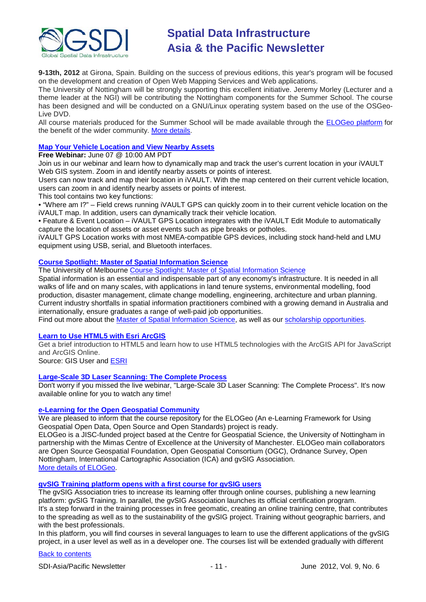

**9-13th, 2012** at Girona, Spain. Building on the success of previous editions, this year's program will be focused on the development and creation of Open Web Mapping Services and Web applications.

The University of Nottingham will be strongly supporting this excellent initiative. Jeremy Morley (Lecturer and a theme leader at the NGI) will be contributing the Nottingham components for the Summer School. The course has been designed and will be conducted on a GNU/Linux operating system based on the use of the OSGeo-Live DVD.

All course materials produced for the Summer School will be made available through the [ELOGeo platform](http://elogeo.nottingham.ac.uk/) for the benefit of the wider community. [More details.](http://www.sigte.udg.edu/summerschool2012/)

# **[Map Your Vehicle Location and View Nearby Assets](https://www4.gotomeeting.com/register/166058135)**

# **Free Webinar:** June 07 @ 10:00 AM PDT

Join us in our webinar and learn how to dynamically map and track the user's current location in your iVAULT Web GIS system. Zoom in and identify nearby assets or points of interest.

Users can now track and map their location in iVAULT. With the map centered on their current vehicle location, users can zoom in and identify nearby assets or points of interest.

This tool contains two key functions:

• "Where am I?" – Field crews running iVAULT GPS can quickly zoom in to their current vehicle location on the iVAULT map. In addition, users can dynamically track their vehicle location.

• Feature & Event Location – iVAULT GPS Location integrates with the iVAULT Edit Module to automatically capture the location of assets or asset events such as pipe breaks or potholes.

iVAULT GPS Location works with most NMEA-compatible GPS devices, including stock hand-held and LMU equipment using USB, serial, and Bluetooth interfaces.

# **[Course Spotlight: Master of Spatial Information Science](http://themelbourneengineer.eng.unimelb.edu.au/2012/02/course-spotlight-master-of-spatial-information-science/)**

The University of Melbourne [Course Spotlight: Master of Spatial Information Science](http://themelbourneengineer.eng.unimelb.edu.au/2012/02/course-spotlight-master-of-spatial-information-science/)

Spatial information is an essential and indispensable part of any economy's infrastructure. It is needed in all walks of life and on many scales, with applications in land tenure systems, environmental modelling, food production, disaster management, climate change modelling, engineering, architecture and urban planning. Current industry shortfalls in spatial information practitioners combined with a growing demand in Australia and internationally, ensure graduates a range of well-paid job opportunities.

Find out more about the [Master of Spatial Information Science,](http://www.msi.unimelb.edu.au/study/graduate/master-of-spatial-information-science/) as well as our [scholarship opportunities.](http://www.eng.unimelb.edu.au/study/graduate/scholarships.html)

### **[Learn to Use HTML5 with Esri ArcGIS](http://www.gisuser.com/content/view/25915/2/)**

Get a brief introduction to HTML5 and learn how to use HTML5 technologies with the ArcGIS API for JavaScript and ArcGIS Online.

Source: GIS User and [ESRI](http://training.esri.com/Gateway/index.cfm?fa=seminars.gateway)

## **[Large-Scale 3D Laser Scanning: The Complete Process](http://www.faro.com/site/resources/details/1373?CampaignId=70170000000bbwr)**

Don't worry if you missed the live webinar, "Large-Scale 3D Laser Scanning: The Complete Process". It's now available online for you to watch any time!

### **[e-Learning for the Open Geospatial Community](http://elogeo.nottingham.ac.uk/xmlui)**

We are pleased to inform that the course repository for the ELOGeo (An e-Learning Framework for Using Geospatial Open Data, Open Source and Open Standards) project is ready.

ELOGeo is a JISC-funded project based at the Centre for Geospatial Science, the University of Nottingham in partnership with the Mimas Centre of Excellence at the University of Manchester. ELOGeo main collaborators are Open Source Geospatial Foundation, Open Geospatial Consortium (OGC), Ordnance Survey, Open Nottingham, International Cartographic Association (ICA) and gvSIG Association. [More details of ELOGeo.](http://elogeo.nottingham.ac.uk/index.html)

# **gvSIG Training platform opens with a first course for gvSIG users**

The gvSIG Association tries to increase its learning offer through online courses, publishing a new learning platform: gvSIG Training. In parallel, the gvSIG Association launches its official certification program. It's a step forward in the training processes in free geomatic, creating an online training centre, that contributes to the spreading as well as to the sustainability of the gvSIG project. Training without geographic barriers, and with the best professionals.

In this platform, you will find courses in several languages to learn to use the different applications of the gvSIG project, in a user level as well as in a developer one. The courses list will be extended gradually with different

## [Back to contents](#page-0-0)

SDI-Asia/Pacific Newsletter 1992 Contract the United States of the United States June 2012, Vol. 9, No. 6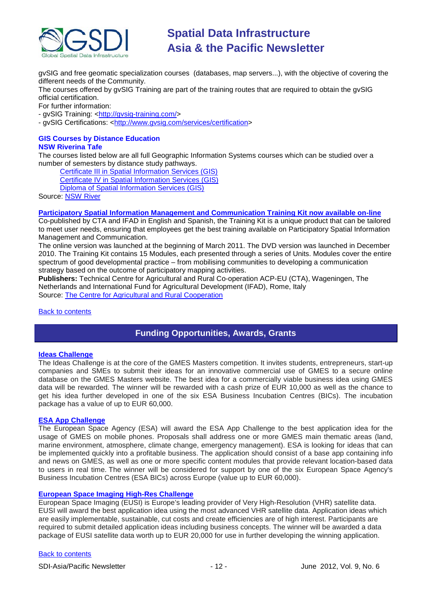

gvSIG and free geomatic specialization courses (databases, map servers...), with the objective of covering the different needs of the Community.

The courses offered by gvSIG Training are part of the training routes that are required to obtain the gvSIG official certification.

For further information:

- gvSIG Training: [<http://gvsig-training.com/>](http://gvsig-training.com/)

- gvSIG Certifications: [<http://www.gvsig.com/services/certification>](http://www.gvsig.com/services/certification)

### **GIS Courses by Distance Education NSW Riverina Tafe**

The courses listed below are all full Geographic Information Systems courses which can be studied over a number of semesters by distance study pathways.

[Certificate III in Spatial Information Services \(GIS\)](http://www.rit.tafensw.edu.au/nec/nrme/giscourses#Cert III in Spatial Information Services (CPP30109))

[Certificate IV in Spatial Information Services \(GIS\)](http://www.rit.tafensw.edu.au/nec/nrme/giscourses#Cert IV in Spatial Information Services (CPP40209))

[Diploma of Spatial Information Services \(GIS\)](http://www.rit.tafensw.edu.au/nec/nrme/giscourses#Diploma of Spatial Information Services (CPP50207))

Sourc[e: NSW River](http://www.rit.tafensw.edu.au/nec/nrme/giscourses)

# **[Participatory Spatial Information Management and Communication Training Kit now available on-line](http://www.cta.int/en/About-us/CTA-news/Participatory-Spatial-Information-Management-and-Communication-Training-Kit-now-available-on-line)**

Co-published by CTA and IFAD in English and Spanish, the Training Kit is a unique product that can be tailored to meet user needs, ensuring that employees get the best training available on Participatory Spatial Information Management and Communication.

The [online version](http://pgis-tk.cta.int/) was launched at the beginning of March 2011. The DVD version was launched in December 2010. The Training Kit contains 15 Modules, each presented through a series of Units. Modules cover the entire spectrum of good developmental practice – from mobilising communities to developing a communication strategy based on the outcome of participatory mapping activities.

**Publishers:** Technical Centre for Agricultural and Rural Co-operation ACP-EU (CTA), Wageningen, The Netherlands and International Fund for Agricultural Development (IFAD), Rome, Italy Source: [The Centre for Agricultural and Rural Cooperation](http://www.cta.int/en/About-us/Who-we-are)

# <span id="page-11-0"></span>[Back to contents](#page-0-0)

# **Funding Opportunities, Awards, Grants**

### **[Ideas Challenge](http://www.gmes-masters.com/ideas-challenge)**

The Ideas Challenge is at the core of the GMES Masters competition. It invites students, entrepreneurs, start-up companies and SMEs to submit their ideas for an innovative commercial use of GMES to a secure online database on the GMES Masters website. The best idea for a commercially viable business idea using GMES data will be rewarded. The winner will be rewarded with a cash prize of EUR 10,000 as well as the chance to get his idea further developed in one of the six ESA Business Incubation Centres (BICs). The incubation package has a value of up to EUR 60,000.

# **[ESA App Challenge](http://www.gmes-masters.com/esa-app-challenge)**

The European Space Agency (ESA) will award the ESA App Challenge to the best application idea for the usage of GMES on mobile phones. Proposals shall address one or more GMES main thematic areas (land, marine environment, atmosphere, climate change, emergency management). ESA is looking for ideas that can be implemented quickly into a profitable business. The application should consist of a base app containing info and news on GMES, as well as one or more specific content modules that provide relevant location-based data to users in real time. The winner will be considered for support by one of the six European Space Agency's Business Incubation Centres (ESA BICs) across Europe (value up to EUR 60,000).

# **[European Space Imaging High-Res Challenge](http://www.gmes-masters.com/european-space-0)**

European Space Imaging (EUSI) is Europe's leading provider of Very High-Resolution (VHR) satellite data. EUSI will award the best application idea using the most advanced VHR satellite data. Application ideas which are easily implementable, sustainable, cut costs and create efficiencies are of high interest. Participants are required to submit detailed application ideas including business concepts. The winner will be awarded a data package of EUSI satellite data worth up to EUR 20,000 for use in further developing the winning application.

### [Back to contents](#page-0-0)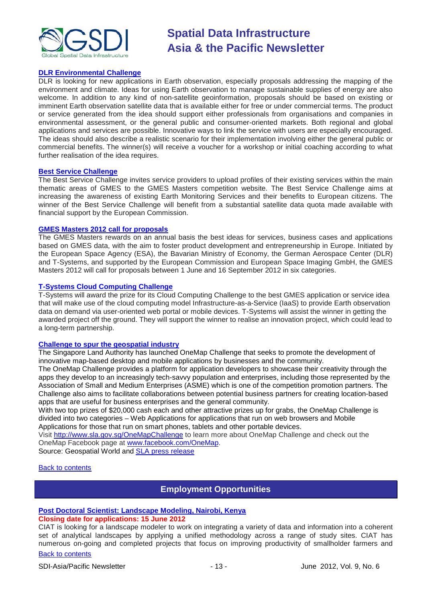

# **[DLR Environmental Challenge](http://www.gmes-masters.com/dlr-environmental)**

DLR is looking for new applications in Earth observation, especially proposals addressing the mapping of the environment and climate. Ideas for using Earth observation to manage sustainable supplies of energy are also welcome. In addition to any kind of non-satellite geoinformation, proposals should be based on existing or imminent Earth observation satellite data that is available either for free or under commercial terms. The product or service generated from the idea should support either professionals from organisations and companies in environmental assessment, or the general public and consumer-oriented markets. Both regional and global applications and services are possible. Innovative ways to link the service with users are especially encouraged. The ideas should also describe a realistic scenario for their implementation involving either the general public or commercial benefits. The winner(s) will receive a voucher for a workshop or initial coaching according to what further realisation of the idea requires.

#### **[Best Service Challenge](http://www.gmes-masters.com/best-service)**

The Best Service Challenge invites service providers to upload profiles of their existing services within the main thematic areas of GMES to the GMES Masters competition website. The Best Service Challenge aims at increasing the awareness of existing Earth Monitoring Services and their benefits to European citizens. The winner of the Best Service Challenge will benefit from a substantial satellite data quota made available with financial support by the European Commission.

### **[GMES Masters 2012 call for proposals](http://www.gmes-masters.com/challenges-2012)**

The GMES Masters rewards on an annual basis the best ideas for services, business cases and applications based on GMES data, with the aim to foster product development and entrepreneurship in Europe. Initiated by the European Space Agency (ESA), the Bavarian Ministry of Economy, the German Aerospace Center (DLR) and T-Systems, and supported by the European Commission and European Space Imaging GmbH, the GMES Masters 2012 will call for proposals between 1 June and 16 September 2012 in six categories.

### **[T-Systems Cloud Computing Challenge](http://www.gmes-masters.com/t-systems-cloud)**

T-Systems will award the prize for its Cloud Computing Challenge to the best GMES application or service idea that will make use of the cloud computing model Infrastructure-as-a-Service (IaaS) to provide Earth observation data on demand via user-oriented web portal or mobile devices. T-Systems will assist the winner in getting the awarded project off the ground. They will support the winner to realise an innovation project, which could lead to a long-term partnership.

## **[Challenge to spur the geospatial industry](http://geospatialworld.net/index.php?option=com_content&view=article&id=23850:challenge-to-spur-the-geospatial-industry&catid=75:miscellaneous-events)**

The Singapore Land Authority has launched OneMap Challenge that seeks to promote the development of innovative map-based desktop and mobile applications by businesses and the community.

The OneMap Challenge provides a platform for application developers to showcase their creativity through the apps they develop to an increasingly tech-savvy population and enterprises, including those represented by the Association of Small and Medium Enterprises (ASME) which is one of the competition promotion partners. The Challenge also aims to facilitate collaborations between potential business partners for creating location-based apps that are useful for business enterprises and the general community.

With two top prizes of \$20,000 cash each and other attractive prizes up for grabs, the OneMap Challenge is divided into two categories – Web Applications for applications that run on web browsers and Mobile Applications for those that run on smart phones, tablets and other portable devices.

Visit <http://www.sla.gov.sg/OneMapChallenge> to learn more about OneMap Challenge and check out the OneMap Facebook page at [www.facebook.com/OneMap.](http://www.facebook.com/OneMap)

Source: Geospatial World and [SLA press release](http://www.sla.gov.sg/htm/new/new2012/new0401.htm)

# <span id="page-12-0"></span>[Back to contents](#page-0-0)

# **Employment Opportunities**

### **[Post Doctoral Scientist: Landscape Modeling, Nairobi, Kenya](http://www.ciat.cgiar.org/publications/Documents/landscape_modeling.pdf)**

# **Closing date for applications: 15 June 2012**

[Back to contents](#page-0-0) CIAT is looking for a landscape modeler to work on integrating a variety of data and information into a coherent set of analytical landscapes by applying a unified methodology across a range of study sites. CIAT has numerous on-going and completed projects that focus on improving productivity of smallholder farmers and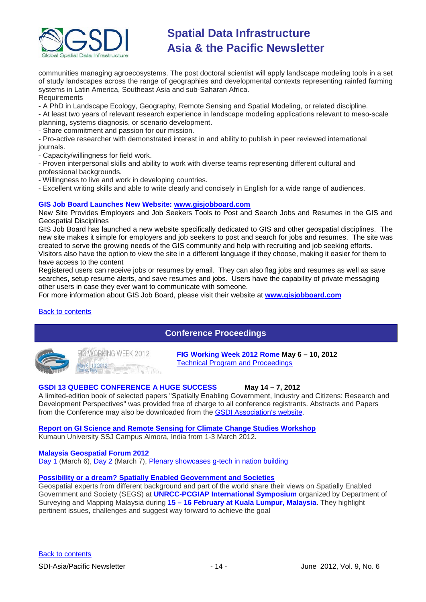

communities managing agroecosystems. The post doctoral scientist will apply landscape modeling tools in a set of study landscapes across the range of geographies and developmental contexts representing rainfed farming systems in Latin America, Southeast Asia and sub-Saharan Africa.

# Requirements

- A PhD in Landscape Ecology, Geography, Remote Sensing and Spatial Modeling, or related discipline.

- At least two years of relevant research experience in landscape modeling applications relevant to meso-scale planning, systems diagnosis, or scenario development.

- Share commitment and passion for our mission.

- Pro-active researcher with demonstrated interest in and ability to publish in peer reviewed international journals.

- Capacity/willingness for field work.

- Proven interpersonal skills and ability to work with diverse teams representing different cultural and professional backgrounds.

- Willingness to live and work in developing countries.

- Excellent writing skills and able to write clearly and concisely in English for a wide range of audiences.

# **GIS Job Board Launches New Website: [www.gisjobboard.com](http://www.gisjobboard.com/)**

New Site Provides Employers and Job Seekers Tools to Post and Search Jobs and Resumes in the GIS and Geospatial Disciplines

GIS Job Board has launched a new website specifically dedicated to GIS and other geospatial disciplines. The new site makes it simple for employers and job seekers to post and search for jobs and resumes. The site was created to serve the growing needs of the GIS community and help with recruiting and job seeking efforts. Visitors also have the option to view the site in a different language if they choose, making it easier for them to

have access to the content

Registered users can receive jobs or resumes by email. They can also flag jobs and resumes as well as save searches, setup resume alerts, and save resumes and jobs. Users have the capability of private messaging other users in case they ever want to communicate with someone.

For more information about GIS Job Board, please visit their website at **[www.gisjobboard.com](http://www.gisjobboard.com/)**

# <span id="page-13-0"></span>[Back to contents](#page-0-0)

# **Conference Proceedings**



**FIGWORKING WEEK 2012** v 6-10 2012

**FIG Working Week 2012 Rome May 6 – 10, 2012** [Technical Program and Proceedings](http://www.fig.net/pub/fig2012/techprog.htm)

# **GSDI 13 QUEBEC CONFERENCE A HUGE SUCCESS May 14 – 7, 2012**

A limited-edition book of selected papers "Spatially Enabling Government, Industry and Citizens: Research and Development Perspectives" was provided free of charge to all conference registrants. Abstracts and Papers from the Conference may also be downloaded from the [GSDI Association's website.](http://www.gsdi.org/gsdiconf/gsdi13/prog_details.html)

# **[Report on GI Science and Remote Sensing for Climate Change Studies Workshop](http://www.asmmag.com/201205043668/report-on-gi-science-and-remote-sensing-for-climate-change-studies-workshop.html)**

Kumaun University SSJ Campus Almora, India from 1-3 March 2012.

### **Malaysia Geospatial Forum 2012**

[Day 1](http://www.geospatialworld.net/index.php?option=com_content&view=article&id=24204%3Amalaysia-explores-geospatial-opportunities&catid=75%3Amiscellaneous-events&Itemid=1) (March 6), [Day 2](http://www.geospatialworld.net/index.php?option=com_content&view=article&id=24223%3Ageospatial-sector-should-strive-to-become-more-useful&catid=75%3Amiscellaneous-events&Itemid=1) (March 7), [Plenary showcases g-tech in nation building](http://www.geospatialworld.net/index.php?option=com_content&view=article&id=24212%3Aplenary-showcases-g-tech-in-nation-building-&catid=75%3Amiscellaneous-events&Itemid=1)

## **[Possibility or a dream? Spatially Enabled Geovernment and Societies](http://mycoordinates.org/possibility-or-a-dream-spatially-enabled-geovernment-and-societies-2/)**

Geospatial experts from different background and part of the world share their views on Spatially Enabled Government and Society (SEGS) at **UNRCC-PCGIAP International Symposium** organized by Department of Surveying and Mapping Malaysia during **15 – 16 February at Kuala Lumpur, Malaysia**. They highlight pertinent issues, challenges and suggest way forward to achieve the goal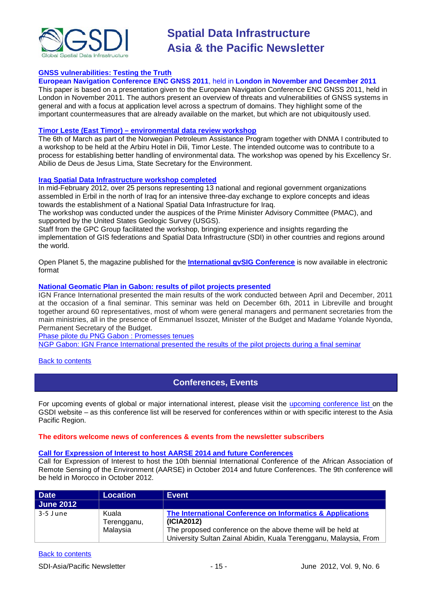

# **[GNSS vulnerabilities: Testing the Truth](http://mycoordinates.org/gnss-vulnerabilities-testing-the-truth/)**

**European Navigation Conference ENC GNSS 2011**, held in **London in November and December 2011**

This paper is based on a presentation given to the European Navigation Conference ENC GNSS 2011, held in London in November 2011. The authors present an overview of threats and vulnerabilities of GNSS systems in general and with a focus at application level across a spectrum of domains. They highlight some of the important countermeasures that are already available on the market, but which are not ubiquitously used.

### **Timor Leste (East Timor) – [environmental data review workshop](http://www.mindland.com/wp/?p=125)**

The 6th of March as part of the Norwegian Petroleum Assistance Program together with DNMA I contributed to a workshop to be held at the Arbiru Hotel in Dili, Timor Leste. The intended outcome was to contribute to a process for establishing better handling of environmental data. The workshop was opened by his Excellency Sr. Abilio de Deus de Jesus Lima, State Secretary for the Environment.

# **[Iraq Spatial Data Infrastructure workshop completed](http://www.ameinfo.com/290564.html)**

In mid-February 2012, over 25 persons representing 13 national and regional government organizations assembled in Erbil in the north of Iraq for an intensive three-day exchange to explore concepts and ideas towards the establishment of a National Spatial Data Infrastructure for Iraq.

The workshop was conducted under the auspices of the Prime Minister Advisory Committee (PMAC), and supported by the United States Geologic Survey (USGS).

Staff from the GPC Group facilitated the workshop, bringing experience and insights regarding the implementation of GIS federations and Spatial Data Infrastructure (SDI) in other countries and regions around the world.

[Open Planet 5, the magazine published for the](http://jornadas.gvsig.org/descargas/magazine) **International gvSIG Conference** is now available in electronic [format](http://jornadas.gvsig.org/descargas/magazine)

# **[National Geomatic Plan in Gabon: results of pilot projects presented](http://www.ignfi.fr/en/content/pilot-phase-ngp-gabon-expectations-were-met)**

IGN France International presented the main results of the work conducted between April and December, 2011 at the occasion of a final seminar. This seminar was held on December 6th, 2011 in Libreville and brought together around 60 representatives, most of whom were general managers and permanent secretaries from the main ministries, all in the presence of Emmanuel Issozet, Minister of the Budget and Madame Yolande Nyonda, Permanent Secretary of the Budget.

[Phase pilote du PNG Gabon : Promesses](http://www.ignfi.fr/fr/content/phase-pilote-du-png-gabon-promesses-tenues) tenues

[NGP Gabon: IGN France International presented the results of the pilot projects during a final seminar](http://www.ignfi.fr/en/content/ngp-gabon-ign-france-international-presented-results-pilot-projects-during-final-seminar)

### <span id="page-14-0"></span>[Back to contents](#page-0-0)

# **Conferences, Events**

For upcoming events of global or major international interest, please visit the [upcoming conference list o](http://gsdi.org/events/upcnf.asp)n the GSDI website – as this conference list will be reserved for conferences within or with specific interest to the Asia Pacific Region.

### **The editors welcome news of conferences & events from the newsletter subscribers**

### **[Call for Expression of Interest to host AARSE 2014 and future Conferences](http://lists.gsdi.org/pipermail/sdi-africa/2010-November/001135.html)**

Call for Expression of Interest to host the 10th biennial International Conference of the African Association of Remote Sensing of the Environment (AARSE) in October 2014 and future Conferences. The 9th conference will be held in Morocco in October 2012.

| <b>Date</b>      | <b>Location</b>      | <b>Event</b>                                                                                                                    |
|------------------|----------------------|---------------------------------------------------------------------------------------------------------------------------------|
| <b>June 2012</b> |                      |                                                                                                                                 |
| 3-5 June         | Kuala<br>Terengganu, | The International Conference on Informatics & Applications<br>(ICIA2012)                                                        |
|                  | Malaysia             | The proposed conference on the above theme will be held at<br>University Sultan Zainal Abidin, Kuala Terengganu, Malaysia, From |

### [Back to contents](#page-0-0)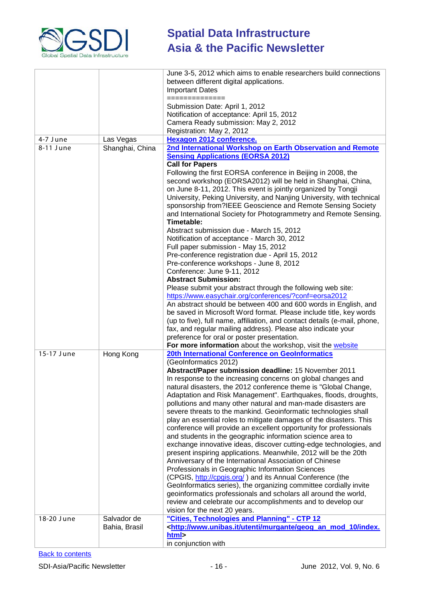

|            |                 | June 3-5, 2012 which aims to enable researchers build connections                                                                |
|------------|-----------------|----------------------------------------------------------------------------------------------------------------------------------|
|            |                 | between different digital applications.                                                                                          |
|            |                 | <b>Important Dates</b>                                                                                                           |
|            |                 | ==============                                                                                                                   |
|            |                 | Submission Date: April 1, 2012                                                                                                   |
|            |                 | Notification of acceptance: April 15, 2012                                                                                       |
|            |                 | Camera Ready submission: May 2, 2012                                                                                             |
|            |                 | Registration: May 2, 2012                                                                                                        |
| 4-7 June   | Las Vegas       | <b>Hexagon 2012 conference.</b>                                                                                                  |
| 8-11 June  | Shanghai, China | 2nd International Workshop on Earth Observation and Remote                                                                       |
|            |                 | <b>Sensing Applications (EORSA 2012)</b>                                                                                         |
|            |                 | <b>Call for Papers</b>                                                                                                           |
|            |                 | Following the first EORSA conference in Beijing in 2008, the                                                                     |
|            |                 | second workshop (EORSA2012) will be held in Shanghai, China,                                                                     |
|            |                 | on June 8-11, 2012. This event is jointly organized by Tongji                                                                    |
|            |                 | University, Peking University, and Nanjing University, with technical                                                            |
|            |                 | sponsorship from?IEEE Geoscience and Remote Sensing Society                                                                      |
|            |                 | and International Society for Photogrammetry and Remote Sensing.                                                                 |
|            |                 | Timetable:                                                                                                                       |
|            |                 | Abstract submission due - March 15, 2012                                                                                         |
|            |                 | Notification of acceptance - March 30, 2012                                                                                      |
|            |                 | Full paper submission - May 15, 2012                                                                                             |
|            |                 | Pre-conference registration due - April 15, 2012                                                                                 |
|            |                 | Pre-conference workshops - June 8, 2012                                                                                          |
|            |                 | Conference: June 9-11, 2012                                                                                                      |
|            |                 | <b>Abstract Submission:</b>                                                                                                      |
|            |                 | Please submit your abstract through the following web site:                                                                      |
|            |                 | https://www.easychair.org/conferences/?conf=eorsa2012                                                                            |
|            |                 | An abstract should be between 400 and 600 words in English, and                                                                  |
|            |                 | be saved in Microsoft Word format. Please include title, key words                                                               |
|            |                 | (up to five), full name, affiliation, and contact details (e-mail, phone,                                                        |
|            |                 | fax, and regular mailing address). Please also indicate your                                                                     |
|            |                 | preference for oral or poster presentation.                                                                                      |
|            |                 | For more information about the workshop, visit the website                                                                       |
| 15-17 June | Hong Kong       | 20th International Conference on GeoInformatics                                                                                  |
|            |                 | (GeoInformatics 2012)                                                                                                            |
|            |                 | Abstract/Paper submission deadline: 15 November 2011                                                                             |
|            |                 | In response to the increasing concerns on global changes and                                                                     |
|            |                 | natural disasters, the 2012 conference theme is "Global Change,                                                                  |
|            |                 | Adaptation and Risk Management". Earthquakes, floods, droughts,                                                                  |
|            |                 | pollutions and many other natural and man-made disasters are                                                                     |
|            |                 | severe threats to the mankind. Geoinformatic technologies shall                                                                  |
|            |                 | play an essential roles to mitigate damages of the disasters. This                                                               |
|            |                 | conference will provide an excellent opportunity for professionals                                                               |
|            |                 | and students in the geographic information science area to<br>exchange innovative ideas, discover cutting-edge technologies, and |
|            |                 | present inspiring applications. Meanwhile, 2012 will be the 20th                                                                 |
|            |                 | Anniversary of the International Association of Chinese                                                                          |
|            |                 | Professionals in Geographic Information Sciences                                                                                 |
|            |                 | (CPGIS, http://cpgis.org/) and its Annual Conference (the                                                                        |
|            |                 | GeoInformatics series), the organizing committee cordially invite                                                                |
|            |                 | geoinformatics professionals and scholars all around the world,                                                                  |
|            |                 | review and celebrate our accomplishments and to develop our                                                                      |
|            |                 | vision for the next 20 years.                                                                                                    |
| 18-20 June | Salvador de     | "Cities, Technologies and Planning" - CTP 12                                                                                     |
|            | Bahia, Brasil   | <http: geog_an_mod_10="" index.<="" murgante="" td="" utenti="" www.unibas.it=""></http:>                                        |
|            |                 | html>                                                                                                                            |
|            |                 | in conjunction with                                                                                                              |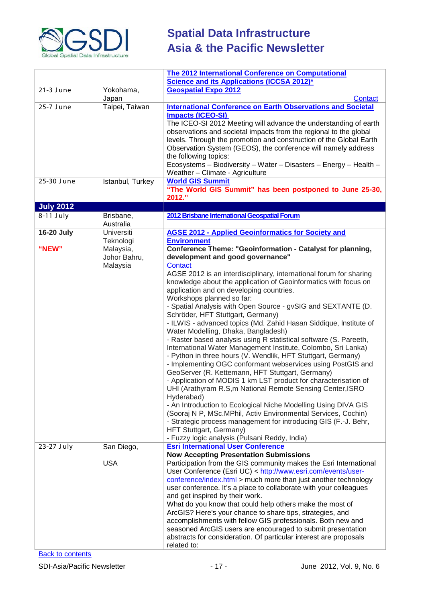

|                   |                                                    | <b>The 2012 International Conference on Computational</b><br><b>Science and its Applications (ICCSA 2012)*</b>                                                                                                                                                                                                                                                                                                                                                                                                                                                                                                                                                                                                                                                                                                                                                                                                                                                                                                                                                                                                                                                                                                                                                                                                                     |
|-------------------|----------------------------------------------------|------------------------------------------------------------------------------------------------------------------------------------------------------------------------------------------------------------------------------------------------------------------------------------------------------------------------------------------------------------------------------------------------------------------------------------------------------------------------------------------------------------------------------------------------------------------------------------------------------------------------------------------------------------------------------------------------------------------------------------------------------------------------------------------------------------------------------------------------------------------------------------------------------------------------------------------------------------------------------------------------------------------------------------------------------------------------------------------------------------------------------------------------------------------------------------------------------------------------------------------------------------------------------------------------------------------------------------|
| 21-3 June         | Yokohama,<br>Japan                                 | <b>Geospatial Expo 2012</b><br>Contact                                                                                                                                                                                                                                                                                                                                                                                                                                                                                                                                                                                                                                                                                                                                                                                                                                                                                                                                                                                                                                                                                                                                                                                                                                                                                             |
| 25-7 June         | Taipei, Taiwan                                     | <b>International Conference on Earth Observations and Societal</b><br><b>Impacts (ICEO-SI)</b><br>The ICEO-SI 2012 Meeting will advance the understanding of earth<br>observations and societal impacts from the regional to the global<br>levels. Through the promotion and construction of the Global Earth<br>Observation System (GEOS), the conference will namely address<br>the following topics:<br>Ecosystems - Biodiversity - Water - Disasters - Energy - Health -<br>Weather - Climate - Agriculture                                                                                                                                                                                                                                                                                                                                                                                                                                                                                                                                                                                                                                                                                                                                                                                                                    |
| 25-30 June        | Istanbul, Turkey                                   | <b>World GIS Summit</b><br>"The World GIS Summit" has been postponed to June 25-30,<br>2012."                                                                                                                                                                                                                                                                                                                                                                                                                                                                                                                                                                                                                                                                                                                                                                                                                                                                                                                                                                                                                                                                                                                                                                                                                                      |
| <b>July 2012</b>  |                                                    |                                                                                                                                                                                                                                                                                                                                                                                                                                                                                                                                                                                                                                                                                                                                                                                                                                                                                                                                                                                                                                                                                                                                                                                                                                                                                                                                    |
| $8-11$ July       | Brisbane,<br>Australia                             | 2012 Brisbane International Geospatial Forum                                                                                                                                                                                                                                                                                                                                                                                                                                                                                                                                                                                                                                                                                                                                                                                                                                                                                                                                                                                                                                                                                                                                                                                                                                                                                       |
| <b>16-20 July</b> | Universiti                                         | <b>AGSE 2012 - Applied Geoinformatics for Society and</b>                                                                                                                                                                                                                                                                                                                                                                                                                                                                                                                                                                                                                                                                                                                                                                                                                                                                                                                                                                                                                                                                                                                                                                                                                                                                          |
| "NEW"             | Teknologi<br>Malaysia,<br>Johor Bahru,<br>Malaysia | <b>Environment</b><br>Conference Theme: "Geoinformation - Catalyst for planning,<br>development and good governance"<br><b>Contact</b><br>AGSE 2012 is an interdisciplinary, international forum for sharing<br>knowledge about the application of Geoinformatics with focus on<br>application and on developing countries.<br>Workshops planned so far:<br>- Spatial Analysis with Open Source - gvSIG and SEXTANTE (D.<br>Schröder, HFT Stuttgart, Germany)<br>- ILWIS - advanced topics (Md. Zahid Hasan Siddique, Institute of<br>Water Modelling, Dhaka, Bangladesh)<br>- Raster based analysis using R statistical software (S. Pareeth,<br>International Water Management Institute, Colombo, Sri Lanka)<br>- Python in three hours (V. Wendlik, HFT Stuttgart, Germany)<br>- Implementing OGC conformant webservices using PostGIS and<br>GeoServer (R. Kettemann, HFT Stuttgart, Germany)<br>- Application of MODIS 1 km LST product for characterisation of<br>UHI (Arathyram R.S,m National Remote Sensing Center, ISRO<br>Hyderabad)<br>- An Introduction to Ecological Niche Modelling Using DIVA GIS<br>(Sooraj N P, MSc.MPhil, Activ Environmental Services, Cochin)<br>- Strategic process management for introducing GIS (F.-J. Behr,<br>HFT Stuttgart, Germany)<br>- Fuzzy logic analysis (Pulsani Reddy, India) |
| 23-27 July        | San Diego,                                         | <b>Esri International User Conference</b>                                                                                                                                                                                                                                                                                                                                                                                                                                                                                                                                                                                                                                                                                                                                                                                                                                                                                                                                                                                                                                                                                                                                                                                                                                                                                          |
|                   | <b>USA</b>                                         | <b>Now Accepting Presentation Submissions</b><br>Participation from the GIS community makes the Esri International<br>User Conference (Esri UC) < http://www.esri.com/events/user-<br>conference/index.html > much more than just another technology<br>user conference. It's a place to collaborate with your colleagues<br>and get inspired by their work.<br>What do you know that could help others make the most of<br>ArcGIS? Here's your chance to share tips, strategies, and<br>accomplishments with fellow GIS professionals. Both new and<br>seasoned ArcGIS users are encouraged to submit presentation<br>abstracts for consideration. Of particular interest are proposals<br>related to:                                                                                                                                                                                                                                                                                                                                                                                                                                                                                                                                                                                                                            |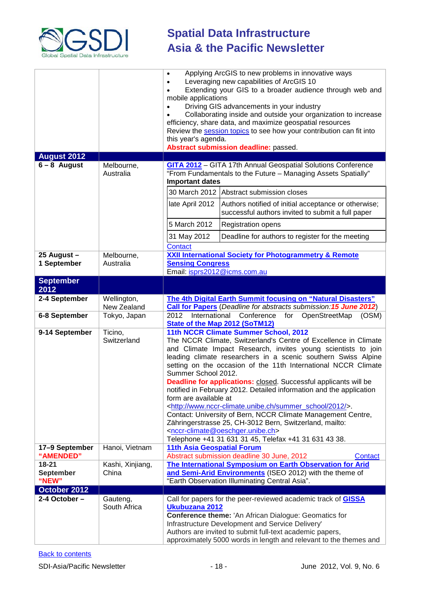

|                               |                            | Applying ArcGIS to new problems in innovative ways<br>Leveraging new capabilities of ArcGIS 10<br>Extending your GIS to a broader audience through web and<br>mobile applications<br>Driving GIS advancements in your industry<br>$\bullet$<br>Collaborating inside and outside your organization to increase<br>efficiency, share data, and maximize geospatial resources<br>Review the session topics to see how your contribution can fit into<br>this year's agenda.<br>Abstract submission deadline: passed.                                                                                                                                                                                                                                                                                                                                   |                                                                                                                                                                                                                                                                                                                    |
|-------------------------------|----------------------------|-----------------------------------------------------------------------------------------------------------------------------------------------------------------------------------------------------------------------------------------------------------------------------------------------------------------------------------------------------------------------------------------------------------------------------------------------------------------------------------------------------------------------------------------------------------------------------------------------------------------------------------------------------------------------------------------------------------------------------------------------------------------------------------------------------------------------------------------------------|--------------------------------------------------------------------------------------------------------------------------------------------------------------------------------------------------------------------------------------------------------------------------------------------------------------------|
| <b>August 2012</b>            |                            |                                                                                                                                                                                                                                                                                                                                                                                                                                                                                                                                                                                                                                                                                                                                                                                                                                                     |                                                                                                                                                                                                                                                                                                                    |
| $6 - 8$ August                | Melbourne,<br>Australia    | <b>Important dates</b>                                                                                                                                                                                                                                                                                                                                                                                                                                                                                                                                                                                                                                                                                                                                                                                                                              | <b>GITA 2012</b> - GITA 17th Annual Geospatial Solutions Conference<br>"From Fundamentals to the Future - Managing Assets Spatially"                                                                                                                                                                               |
|                               |                            |                                                                                                                                                                                                                                                                                                                                                                                                                                                                                                                                                                                                                                                                                                                                                                                                                                                     | 30 March 2012 Abstract submission closes                                                                                                                                                                                                                                                                           |
|                               |                            | late April 2012                                                                                                                                                                                                                                                                                                                                                                                                                                                                                                                                                                                                                                                                                                                                                                                                                                     | Authors notified of initial acceptance or otherwise;<br>successful authors invited to submit a full paper                                                                                                                                                                                                          |
|                               |                            | 5 March 2012                                                                                                                                                                                                                                                                                                                                                                                                                                                                                                                                                                                                                                                                                                                                                                                                                                        | <b>Registration opens</b>                                                                                                                                                                                                                                                                                          |
|                               |                            | 31 May 2012                                                                                                                                                                                                                                                                                                                                                                                                                                                                                                                                                                                                                                                                                                                                                                                                                                         | Deadline for authors to register for the meeting                                                                                                                                                                                                                                                                   |
|                               |                            | Contact                                                                                                                                                                                                                                                                                                                                                                                                                                                                                                                                                                                                                                                                                                                                                                                                                                             |                                                                                                                                                                                                                                                                                                                    |
| 25 August -                   | Melbourne,                 |                                                                                                                                                                                                                                                                                                                                                                                                                                                                                                                                                                                                                                                                                                                                                                                                                                                     | <b>XXII International Society for Photogrammetry &amp; Remote</b>                                                                                                                                                                                                                                                  |
| 1 September                   | Australia                  | <b>Sensing Congress</b><br>Email: isprs2012@icms.com.au                                                                                                                                                                                                                                                                                                                                                                                                                                                                                                                                                                                                                                                                                                                                                                                             |                                                                                                                                                                                                                                                                                                                    |
| <b>September</b>              |                            |                                                                                                                                                                                                                                                                                                                                                                                                                                                                                                                                                                                                                                                                                                                                                                                                                                                     |                                                                                                                                                                                                                                                                                                                    |
| 2012                          |                            |                                                                                                                                                                                                                                                                                                                                                                                                                                                                                                                                                                                                                                                                                                                                                                                                                                                     |                                                                                                                                                                                                                                                                                                                    |
| 2-4 September                 | Wellington,<br>New Zealand | The 4th Digital Earth Summit focusing on "Natural Disasters"<br><b>Call for Papers</b> (Deadline for abstracts submission: 15 June 2012)                                                                                                                                                                                                                                                                                                                                                                                                                                                                                                                                                                                                                                                                                                            |                                                                                                                                                                                                                                                                                                                    |
| 6-8 September                 | Tokyo, Japan               | 2012<br>International<br>Conference<br>for<br>OpenStreetMap<br>(OSM)<br><b>State of the Map 2012 (SoTM12)</b>                                                                                                                                                                                                                                                                                                                                                                                                                                                                                                                                                                                                                                                                                                                                       |                                                                                                                                                                                                                                                                                                                    |
| 9-14 September                | Ticino,<br>Switzerland     | 11th NCCR Climate Summer School, 2012<br>The NCCR Climate, Switzerland's Centre of Excellence in Climate<br>and Climate Impact Research, invites young scientists to join<br>leading climate researchers in a scenic southern Swiss Alpine<br>setting on the occasion of the 11th International NCCR Climate<br>Summer School 2012.<br><b>Deadline for applications:</b> closed. Successful applicants will be<br>notified in February 2012. Detailed information and the application<br>form are available at<br><http: 2012="" summer_school="" www.nccr-climate.unibe.ch=""></http:> .<br>Contact: University of Bern, NCCR Climate Management Centre,<br>Zähringerstrasse 25, CH-3012 Bern, Switzerland, mailto:<br><nccr-climate@oeschger.unibe.ch><br/>Telephone +41 31 631 31 45, Telefax +41 31 631 43 38.</nccr-climate@oeschger.unibe.ch> |                                                                                                                                                                                                                                                                                                                    |
| 17-9 September<br>"AMENDED"   | Hanoi, Vietnam             | <b>11th Asia Geospatial Forum</b>                                                                                                                                                                                                                                                                                                                                                                                                                                                                                                                                                                                                                                                                                                                                                                                                                   | Abstract submission deadline 30 June, 2012<br>Contact                                                                                                                                                                                                                                                              |
| $18 - 21$<br><b>September</b> | Kashi, Xinjiang,           |                                                                                                                                                                                                                                                                                                                                                                                                                                                                                                                                                                                                                                                                                                                                                                                                                                                     | The International Symposium on Earth Observation for Arid                                                                                                                                                                                                                                                          |
| "NEW"                         | China                      |                                                                                                                                                                                                                                                                                                                                                                                                                                                                                                                                                                                                                                                                                                                                                                                                                                                     | and Semi-Arid Environments (ISEO 2012) with the theme of<br>"Earth Observation Illuminating Central Asia".                                                                                                                                                                                                         |
| October 2012                  |                            |                                                                                                                                                                                                                                                                                                                                                                                                                                                                                                                                                                                                                                                                                                                                                                                                                                                     |                                                                                                                                                                                                                                                                                                                    |
| 2-4 October-                  | Gauteng,<br>South Africa   | Ukubuzana 2012                                                                                                                                                                                                                                                                                                                                                                                                                                                                                                                                                                                                                                                                                                                                                                                                                                      | Call for papers for the peer-reviewed academic track of <b>GISSA</b><br>Conference theme: 'An African Dialogue: Geomatics for<br>Infrastructure Development and Service Delivery'<br>Authors are invited to submit full-text academic papers,<br>approximately 5000 words in length and relevant to the themes and |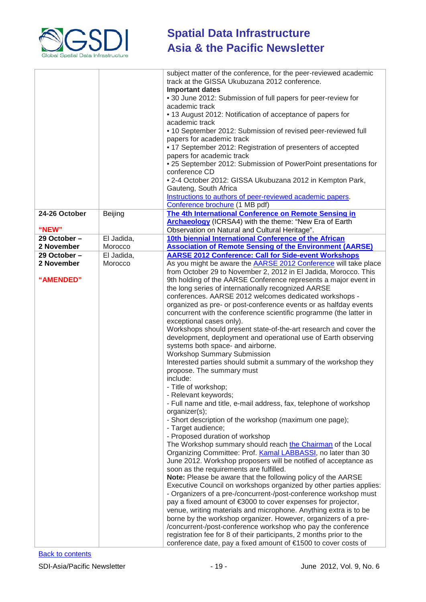

|                        |            | subject matter of the conference, for the peer-reviewed academic<br>track at the GISSA Ukubuzana 2012 conference.<br><b>Important dates</b><br>• 30 June 2012: Submission of full papers for peer-review for<br>academic track<br>• 13 August 2012: Notification of acceptance of papers for<br>academic track<br>• 10 September 2012: Submission of revised peer-reviewed full<br>papers for academic track<br>• 17 September 2012: Registration of presenters of accepted<br>papers for academic track<br>• 25 September 2012: Submission of PowerPoint presentations for<br>conference CD<br>• 2-4 October 2012: GISSA Ukubuzana 2012 in Kempton Park,<br>Gauteng, South Africa<br>Instructions to authors of peer-reviewed academic papers.                                                                                                                                                                                                                                                                                                                                                                                                                                                                                                                                                                                                                                                                                                                                                                                                                                                                                                                                                                                                                                                                     |
|------------------------|------------|---------------------------------------------------------------------------------------------------------------------------------------------------------------------------------------------------------------------------------------------------------------------------------------------------------------------------------------------------------------------------------------------------------------------------------------------------------------------------------------------------------------------------------------------------------------------------------------------------------------------------------------------------------------------------------------------------------------------------------------------------------------------------------------------------------------------------------------------------------------------------------------------------------------------------------------------------------------------------------------------------------------------------------------------------------------------------------------------------------------------------------------------------------------------------------------------------------------------------------------------------------------------------------------------------------------------------------------------------------------------------------------------------------------------------------------------------------------------------------------------------------------------------------------------------------------------------------------------------------------------------------------------------------------------------------------------------------------------------------------------------------------------------------------------------------------------|
|                        |            | Conference brochure (1 MB pdf)                                                                                                                                                                                                                                                                                                                                                                                                                                                                                                                                                                                                                                                                                                                                                                                                                                                                                                                                                                                                                                                                                                                                                                                                                                                                                                                                                                                                                                                                                                                                                                                                                                                                                                                                                                                      |
| 24-26 October<br>"NEW" | Beijing    | The 4th International Conference on Remote Sensing in<br>Archaeology (ICRSA4) with the theme: "New Era of Earth<br>Observation on Natural and Cultural Heritage".                                                                                                                                                                                                                                                                                                                                                                                                                                                                                                                                                                                                                                                                                                                                                                                                                                                                                                                                                                                                                                                                                                                                                                                                                                                                                                                                                                                                                                                                                                                                                                                                                                                   |
| 29 October-            | El Jadida, | 10th biennial International Conference of the African                                                                                                                                                                                                                                                                                                                                                                                                                                                                                                                                                                                                                                                                                                                                                                                                                                                                                                                                                                                                                                                                                                                                                                                                                                                                                                                                                                                                                                                                                                                                                                                                                                                                                                                                                               |
| 2 November             | Morocco    | <b>Association of Remote Sensing of the Environment (AARSE)</b>                                                                                                                                                                                                                                                                                                                                                                                                                                                                                                                                                                                                                                                                                                                                                                                                                                                                                                                                                                                                                                                                                                                                                                                                                                                                                                                                                                                                                                                                                                                                                                                                                                                                                                                                                     |
| 29 October-            | El Jadida, | <b>AARSE 2012 Conference: Call for Side-event Workshops</b>                                                                                                                                                                                                                                                                                                                                                                                                                                                                                                                                                                                                                                                                                                                                                                                                                                                                                                                                                                                                                                                                                                                                                                                                                                                                                                                                                                                                                                                                                                                                                                                                                                                                                                                                                         |
| 2 November             | Morocco    | As you might be aware the AARSE 2012 Conference will take place                                                                                                                                                                                                                                                                                                                                                                                                                                                                                                                                                                                                                                                                                                                                                                                                                                                                                                                                                                                                                                                                                                                                                                                                                                                                                                                                                                                                                                                                                                                                                                                                                                                                                                                                                     |
|                        |            | from October 29 to November 2, 2012 in El Jadida, Morocco. This                                                                                                                                                                                                                                                                                                                                                                                                                                                                                                                                                                                                                                                                                                                                                                                                                                                                                                                                                                                                                                                                                                                                                                                                                                                                                                                                                                                                                                                                                                                                                                                                                                                                                                                                                     |
| "AMENDED"              |            | 9th holding of the AARSE Conference represents a major event in<br>the long series of internationally recognized AARSE<br>conferences. AARSE 2012 welcomes dedicated workshops -<br>organized as pre- or post-conference events or as halfday events<br>concurrent with the conference scientific programme (the latter in<br>exceptional cases only).<br>Workshops should present state-of-the-art research and cover the<br>development, deployment and operational use of Earth observing<br>systems both space- and airborne.<br><b>Workshop Summary Submission</b><br>Interested parties should submit a summary of the workshop they<br>propose. The summary must<br>include:<br>- Title of workshop;<br>- Relevant keywords;<br>- Full name and title, e-mail address, fax, telephone of workshop<br>organizer(s);<br>- Short description of the workshop (maximum one page);<br>- Target audience;<br>- Proposed duration of workshop<br>The Workshop summary should reach the Chairman of the Local<br>Organizing Committee: Prof. Kamal LABBASSI, no later than 30<br>June 2012. Workshop proposers will be notified of acceptance as<br>soon as the requirements are fulfilled.<br>Note: Please be aware that the following policy of the AARSE<br>Executive Council on workshops organized by other parties applies:<br>- Organizers of a pre-/concurrent-/post-conference workshop must<br>pay a fixed amount of €3000 to cover expenses for projector,<br>venue, writing materials and microphone. Anything extra is to be<br>borne by the workshop organizer. However, organizers of a pre-<br>/concurrent-/post-conference workshop who pay the conference<br>registration fee for 8 of their participants, 2 months prior to the<br>conference date, pay a fixed amount of €1500 to cover costs of |